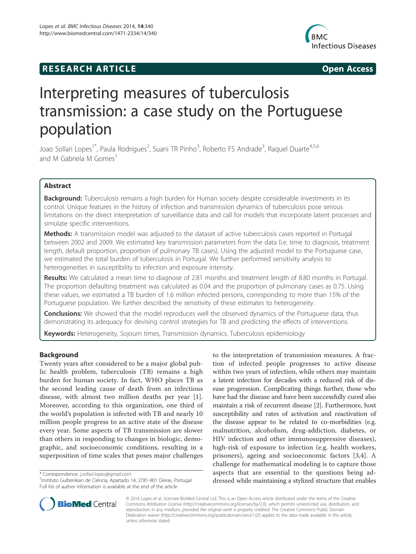# **RESEARCH ARTICLE Example 2014 The SEAR CH ACCESS**



# Interpreting measures of tuberculosis transmission: a case study on the Portuguese population

Joao Sollari Lopes<sup>1\*</sup>, Paula Rodrigues<sup>2</sup>, Suani TR Pinho<sup>3</sup>, Roberto FS Andrade<sup>3</sup>, Raquel Duarte<sup>4,5,6</sup> and M Gabriela M Gomes<sup>1</sup>

# Abstract

Background: Tuberculosis remains a high burden for Human society despite considerable investments in its control. Unique features in the history of infection and transmission dynamics of tuberculosis pose serious limitations on the direct interpretation of surveillance data and call for models that incorporate latent processes and simulate specific interventions.

Methods: A transmission model was adjusted to the dataset of active tuberculosis cases reported in Portugal between 2002 and 2009. We estimated key transmission parameters from the data (i.e. time to diagnosis, treatment length, default proportion, proportion of pulmonary TB cases). Using the adjusted model to the Portuguese case, we estimated the total burden of tuberculosis in Portugal. We further performed sensitivity analysis to heterogeneities in susceptibility to infection and exposure intensity.

Results: We calculated a mean time to diagnose of 2.81 months and treatment length of 8.80 months in Portugal. The proportion defaulting treatment was calculated as 0.04 and the proportion of pulmonary cases as 0.75. Using these values, we estimated a TB burden of 1.6 million infected persons, corresponding to more than 15% of the Portuguese population. We further described the sensitivity of these estimates to heterogeneity.

**Conclusions:** We showed that the model reproduces well the observed dynamics of the Portuguese data, thus demonstrating its adequacy for devising control strategies for TB and predicting the effects of interventions.

Keywords: Heterogeneity, Sojourn times, Transmission dynamics, Tuberculosis epidemiology

# Background

Twenty years after considered to be a major global public health problem, tuberculosis (TB) remains a high burden for human society. In fact, WHO places TB as the second leading cause of death from an infectious disease, with almost two million deaths per year [1]. Moreover, according to this organization, one third of the world's population is infected with TB and nearly 10 million people progress to an active state of the disease every year. Some aspects of TB transmission are slower than others in responding to changes in biologic, demographic, and socioeconomic conditions, resulting in a superposition of time scales that poses major challenges

\* Correspondence: j.sollari.lopes@gmail.com <sup>1</sup>

<sup>1</sup>Instituto Gulbenkian de Ciência, Apartado 14, 2781-901 Oeiras, Portugal Full list of author information is available at the end of the article





© 2014 Lopes et al.; licensee BioMed Central Ltd. This is an Open Access article distributed under the terms of the Creative Commons Attribution License (http://creativecommons.org/licenses/by/2.0), which permits unrestricted use, distribution, and reproduction in any medium, provided the original work is properly credited. The Creative Commons Public Domain Dedication waiver (http://creativecommons.org/publicdomain/zero/1.0/) applies to the data made available in this article, unless otherwise stated.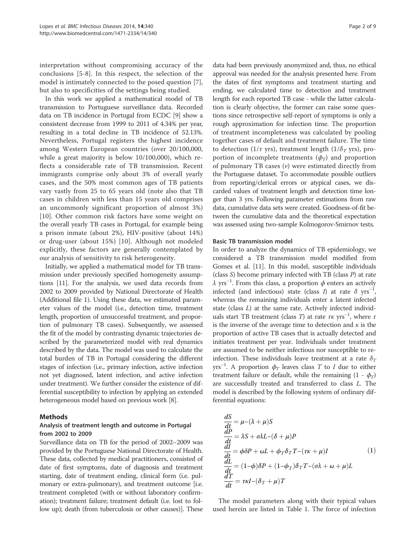interpretation without compromising accuracy of the conclusions [5-8]. In this respect, the selection of the model is intimately connected to the posed question [7], but also to specificities of the settings being studied.

In this work we applied a mathematical model of TB transmission to Portuguese surveillance data. Recorded data on TB incidence in Portugal from ECDC [9] show a consistent decrease from 1999 to 2011 of 4.34% per year, resulting in a total decline in TB incidence of 52.13%. Nevertheless, Portugal registers the highest incidence among Western European countries (over 20/100,000, while a great majority is below 10/100,000), which reflects a considerable rate of TB transmission. Recent immigrants comprise only about 3% of overall yearly cases, and the 50% most common ages of TB patients vary vastly from 25 to 65 years old (note also that TB cases in children with less than 15 years old comprises an uncommonly significant proportion of almost 3%) [10]. Other common risk factors have some weight on the overall yearly TB cases in Portugal, for example being a prison inmate (about 2%), HIV-positive (about 14%) or drug-user (about 15%) [10]. Although not modeled explicitly, these factors are generally contemplated by our analysis of sensitivity to risk heterogeneity.

Initially, we applied a mathematical model for TB transmission under previously specified homogeneity assumptions [11]. For the analysis, we used data records from 2002 to 2009 provided by National Directorate of Health (Additional file 1). Using these data, we estimated parameter values of the model (i.e., detection time, treatment length, proportion of unsuccessful treatment, and proportion of pulmonary TB cases). Subsequently, we assessed the fit of the model by contrasting dynamic trajectories described by the parameterized model with real dynamics described by the data. The model was used to calculate the total burden of TB in Portugal considering the different stages of infection (i.e., primary infection, active infection not yet diagnosed, latent infection, and active infection under treatment). We further consider the existence of differential susceptibility to infection by applying an extended heterogeneous model based on previous work [8].

# Methods

# Analysis of treatment length and outcome in Portugal from 2002 to 2009

Surveillance data on TB for the period of 2002–2009 was provided by the Portuguese National Directorate of Health. These data, collected by medical practitioners, consisted of date of first symptoms, date of diagnosis and treatment starting, date of treatment ending, clinical form (i.e. pulmonary or extra-pulmonary), and treatment outcome [i.e. treatment completed (with or without laboratory confirmation); treatment failure; treatment default (i.e. lost to follow up); death (from tuberculosis or other causes)]. These

data had been previously anonymized and, thus, no ethical approval was needed for the analysis presented here. From the dates of first symptoms and treatment starting and ending, we calculated time to detection and treatment length for each reported TB case - while the latter calculation is clearly objective, the former can raise some questions since retrospective self-report of symptoms is only a rough approximation for infection time. The proportion of treatment incompleteness was calculated by pooling together cases of default and treatment failure. The time to detection (1/ $\tau$  yrs), treatment length (1/ $\delta$ <sub>T</sub> yrs), proportion of incomplete treatments  $(\phi_T)$  and proportion of pulmonary TB cases  $(v)$  were estimated directly from the Portuguese dataset. To accommodate possible outliers from reporting/clerical errors or atypical cases, we discarded values of treatment length and detection time longer than 3 yrs. Following parameter estimations from raw data, cumulative data sets were created. Goodness-of-fit between the cumulative data and the theoretical expectation was assessed using two-sample Kolmogorov-Smirnov tests.

#### Basic TB transmission model

In order to analyze the dynamics of TB epidemiology, we considered a TB transmission model modified from Gomes et al. [11]. In this model, susceptible individuals (class S) become primary infected with TB (class P) at rate  $\lambda$  yrs<sup>-1</sup>. From this class, a proportion  $\phi$  enters an actively infected (and infectious) state (class *I*) at rate  $\delta$  yrs<sup>-1</sup>, whereas the remaining individuals enter a latent infected state (class L) at the same rate. Actively infected individuals start TB treatment (class T) at rate  $\tau$ K yrs<sup>-1</sup>, where  $\tau$ is the inverse of the average time to detection and  $\kappa$  is the proportion of active TB cases that is actually detected and initiates treatment per year. Individuals under treatment are assumed to be neither infectious nor susceptible to reinfection. These individuals leave treatment at a rate  $\delta_T$ yrs<sup>-1</sup>. A proportion  $\phi_T$  leaves class T to I due to either treatment failure or default, while the remaining  $(1 - \phi_T)$ are successfully treated and transferred to class L. The model is described by the following system of ordinary differential equations:

$$
\frac{dS}{dt} = \mu - (\lambda + \mu)S\n\frac{dP}{dt} = \lambda S + \sigma \lambda L - (\delta + \mu)P\n\frac{dI}{dt} = \phi \delta P + \omega L + \phi_T \delta_T T - (\tau \kappa + \mu)I\n\frac{dL}{dt} = (1 - \phi) \delta P + (1 - \phi_T) \delta_T T - (\sigma \lambda + \omega + \mu)L\n\frac{dT}{dt} = \tau \kappa I - (\delta_T + \mu)T
$$
\n(1)

The model parameters along with their typical values used herein are listed in Table 1. The force of infection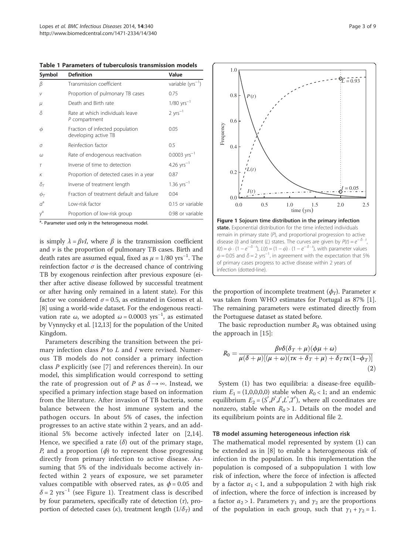| Symbol                 | <b>Definition</b>                                       | Value                      |
|------------------------|---------------------------------------------------------|----------------------------|
| β                      | Transmission coefficient                                | variable ( $yrs^{-1}$ )    |
| ν                      | Proportion of pulmonary TB cases                        | 0.75                       |
| μ                      | Death and Birth rate                                    | $1/80$ yrs <sup>-1</sup>   |
| δ                      | Rate at which individuals leave<br>P compartment        | $2 yrs^{-1}$               |
| Φ                      | Fraction of infected population<br>developing active TB | 0.05                       |
| $\sigma$               | Reinfection factor                                      | 0.5                        |
| $\omega$               | Rate of endogenous reactivation                         | $0.0003$ yrs <sup>-1</sup> |
| $\tau$                 | Inverse of time to detection                            | 4.26 $yrs^{-1}$            |
| K                      | Proportion of detected cases in a year                  | 0.87                       |
| $\delta_{\mathcal{T}}$ | Inverse of treatment length                             | $1.36$ yrs <sup>-1</sup>   |
| $\phi_{\mathcal{T}}$   | Fraction of treatment default and failure               | 0.04                       |
| $\alpha^a$             | Low-risk factor                                         | 0.15 or variable           |
| $\gamma^{\rm a}$       | Proportion of low-risk group                            | 0.98 or variable           |

Table 1 Parameters of tuberculosis transmission models

<sup>a</sup>- Parameter used only in the heterogeneous model.

is simply  $\lambda = \beta vI$ , where  $\beta$  is the transmission coefficient and  $\nu$  is the proportion of pulmonary TB cases. Birth and death rates are assumed equal, fixed as  $\mu = 1/80 \text{ yrs}^{-1}$ . The reinfection factor  $\sigma$  is the decreased chance of contriving TB by exogenous reinfection after previous exposure (either after active disease followed by successful treatment or after having only remained in a latent state). For this factor we considered  $\sigma$  = 0.5, as estimated in Gomes et al. [8] using a world-wide dataset. For the endogenous reactivation rate ω, we adopted  $ω = 0.0003$  yrs<sup>-1</sup>, as estimated by Vynnycky et al. [12,13] for the population of the United Kingdom.

Parameters describing the transition between the primary infection class  $P$  to  $L$  and  $I$  were revised. Numerous TB models do not consider a primary infection class P explicitly (see [7] and references therein). In our model, this simplification would correspond to setting the rate of progression out of P as  $\delta \rightarrow \infty$ . Instead, we specified a primary infection stage based on information from the literature. After invasion of TB bacteria, some balance between the host immune system and the pathogen occurs. In about 5% of cases, the infection progresses to an active state within 2 years, and an additional 5% become actively infected later on [2,14]. Hence, we specified a rate  $(\delta)$  out of the primary stage, *P*, and a proportion  $(\phi)$  to represent those progressing directly from primary infection to active disease. Assuming that 5% of the individuals become actively infected within 2 years of exposure, we set parameter values compatible with observed rates, as  $\phi$  = 0.05 and  $\delta$  = 2 yrs<sup>-1</sup> (see Figure 1). Treatment class is described by four parameters, specifically rate of detection  $(\tau)$ , proportion of detected cases (κ), treatment length ( $1/\delta_T$ ) and



the proportion of incomplete treatment  $(\phi_T)$ . Parameter  $\kappa$ was taken from WHO estimates for Portugal as 87% [1]. The remaining parameters were estimated directly from the Portuguese dataset as stated before.

The basic reproduction number  $R_0$  was obtained using the approach in [15]:

$$
R_0 = \frac{\beta v \delta(\delta_T + \mu)(\phi \mu + \omega)}{\mu(\delta + \mu)[(\mu + \omega)(\tau \kappa + \delta_T + \mu) + \delta_T \tau \kappa (1 - \phi_T)]}
$$
  
(2)

System (1) has two equilibria: a disease-free equilibrium  $E_1 = (1,0,0,0,0)$  stable when  $R_0 < 1$ ; and an endemic equilibrium  $E_2 = (S^*, P^*, I^*, L^*, T^*)$ , where all coordinates are nonzero, stable when  $R_0 > 1$ . Details on the model and its equilibrium points are in Additional file 2.

#### TB model assuming heterogeneous infection risk

The mathematical model represented by system (1) can be extended as in [8] to enable a heterogeneous risk of infection in the population. In this implementation the population is composed of a subpopulation 1 with low risk of infection, where the force of infection is affected by a factor  $\alpha_1 < 1$ , and a subpopulation 2 with high risk of infection, where the force of infection is increased by a factor  $\alpha_2 > 1$ . Parameters  $\gamma_1$  and  $\gamma_2$  are the proportions of the population in each group, such that  $y_1 + y_2 = 1$ .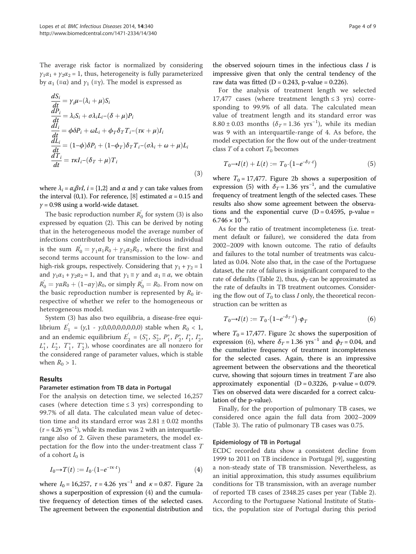The average risk factor is normalized by considering  $\gamma_1 \alpha_1 + \gamma_2 \alpha_2 = 1$ , thus, heterogeneity is fully parameterized by  $\alpha_1$  ( $\equiv \alpha$ ) and  $\gamma_1$  ( $\equiv \gamma$ ). The model is expressed as

$$
\frac{dS_i}{dt} = \gamma_i \mu - (\lambda_i + \mu) S_i
$$
\n
$$
\frac{dP_i}{dt} = \lambda_i S_i + \sigma \lambda_i L_i - (\delta + \mu) P_i
$$
\n
$$
\frac{dI_i}{dt} = \phi \delta P_i + \omega L_i + \phi_T \delta_T T_i - (\tau \kappa + \mu) I_i
$$
\n
$$
\frac{dL_i}{dt} = (1 - \phi) \delta P_i + (1 - \phi_T) \delta_T T_i - (\sigma \lambda_i + \omega + \mu) L_i
$$
\n
$$
\frac{dT_i}{dt} = \tau \kappa I_i - (\delta_T + \mu) T_i
$$
\n(3)

where  $\lambda_i = \alpha_i \beta vI$ ,  $i = \{1,2\}$  and  $\alpha$  and  $\gamma$  can take values from the interval (0,1). For reference, [8] estimated  $\alpha$  = 0.15 and  $\gamma$  = 0.98 using a world-wide dataset.

The basic reproduction number  $R_0^{'}$  for system (3) is also expressed by equation (2). This can be derived by noting that in the heterogeneous model the average number of infections contributed by a single infectious individual is the sum  $R_0^{'} = \gamma_1 \alpha_1 R_0 + \gamma_2 \alpha_2 R_0$ , where the first and second terms account for transmission to the low- and high-risk groups, respectively. Considering that  $y_1 + y_2 = 1$ and  $\gamma_1 \alpha_1 + \gamma_2 \alpha_2 = 1$ , and that  $\gamma_1 \equiv \gamma$  and  $\alpha_1 \equiv \alpha$ , we obtain  $R_0^{'} = \gamma \alpha R_0 + (1 - \alpha \gamma) R_0$ , or simply  $R_0^{'} = R_0$ . From now on the basic reproduction number is represented by  $R_0$  irrespective of whether we refer to the homogeneous or heterogeneous model.

System (3) has also two equilibria, a disease-free equilibrium  $E_1^{'} = (\gamma, 1 - \gamma, 0, 0, 0, 0, 0, 0, 0, 0)$  stable when  $R_0 < 1$ , and an endemic equilibrium  $E_2^{'} = (S_1^*, S_2^*, P_1^*, P_2^*, I_1^*, I_2^*)$  $L_1^*$ ,  $L_2^*$ ,  $T_1^*$ ,  $T_2^*$ ), whose coordinates are all nonzero for the considered range of parameter values, which is stable when  $R_0 > 1$ .

#### Results

#### Parameter estimation from TB data in Portugal

For the analysis on detection time, we selected 16,257 cases (where detection time  $\leq$  3 yrs) corresponding to 99.7% of all data. The calculated mean value of detection time and its standard error was  $2.81 \pm 0.02$  months  $(\tau = 4.26 \text{ yrs}^{-1})$ , while its median was 2 with an interquartilerange also of 2. Given these parameters, the model expectation for the flow into the under-treatment class T of a cohort  $I_0$  is

$$
I_0 \to T(t) := I_0 \cdot (1 - e^{-\tau \kappa \cdot t}) \tag{4}
$$

where  $I_0 = 16,257$ ,  $\tau = 4.26$  yrs<sup>-1</sup> and  $\kappa = 0.87$ . Figure 2a shows a superposition of expression (4) and the cumulative frequency of detection times of the selected cases. The agreement between the exponential distribution and

the observed sojourn times in the infectious class  $I$  is impressive given that only the central tendency of the raw data was fitted ( $D = 0.243$ , p-value = 0.226).

For the analysis of treatment length we selected 17,477 cases (where treatment length  $\leq$  3 yrs) corresponding to 99.9% of all data. The calculated mean value of treatment length and its standard error was  $8.80 \pm 0.03$  months ( $\delta_T = 1.36$  yrs<sup>-1</sup>), while its median was 9 with an interquartile-range of 4. As before, the model expectation for the flow out of the under-treatment class  $T$  of a cohort  $T_0$  becomes

$$
T_0 \to I(t) + L(t) := T_0 \cdot \left(1 - e^{-\delta_T \cdot t}\right) \tag{5}
$$

where  $T_0 = 17,477$ . Figure 2b shows a superposition of expression (5) with  $\delta_T$  = 1.36 yrs<sup>-1</sup>, and the cumulative frequency of treatment length of the selected cases. These results also show some agreement between the observations and the exponential curve  $(D = 0.4595, p-value =$  $6.746 \times 10^{-4}$ ).

As for the ratio of treatment incompleteness (i.e. treatment default or failure), we considered the data from 2002–2009 with known outcome. The ratio of defaults and failures to the total number of treatments was calculated as 0.04. Note also that, in the case of the Portuguese dataset, the rate of failures is insignificant compared to the rate of defaults (Table 2), thus,  $\phi_T$  can be approximated as the rate of defaults in TB treatment outcomes. Considering the flow out of  $T_0$  to class I only, the theoretical reconstruction can be written as

$$
T_0 \to I(t) := T_0 \cdot \left(1 - e^{-\delta_T \cdot t}\right) \cdot \phi_T \tag{6}
$$

where  $T_0 = 17,477$ . Figure 2c shows the superposition of expression (6), where  $\delta_T = 1.36$  yrs<sup>-1</sup> and  $\phi_T = 0.04$ , and the cumulative frequency of treatment incompleteness for the selected cases. Again, there is an impressive agreement between the observations and the theoretical curve, showing that sojourn times in treatment T are also approximately exponential  $(D = 0.3226, p-value = 0.079$ . Ties on observed data were discarded for a correct calculation of the p-value).

Finally, for the proportion of pulmonary TB cases, we considered once again the full data from 2002–2009 (Table 3). The ratio of pulmonary TB cases was 0.75.

#### Epidemiology of TB in Portugal

ECDC recorded data show a consistent decline from 1999 to 2011 on TB incidence in Portugal [9], suggesting a non-steady state of TB transmission. Nevertheless, as an initial approximation, this study assumes equilibrium conditions for TB transmission, with an average number of reported TB cases of 2348.25 cases per year (Table 2). According to the Portuguese National Institute of Statistics, the population size of Portugal during this period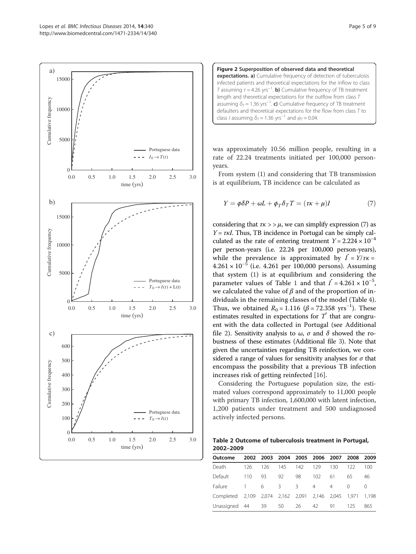



was approximately 10.56 million people, resulting in a rate of 22.24 treatments initiated per 100,000 personyears.

From system (1) and considering that TB transmission is at equilibrium, TB incidence can be calculated as

$$
Y = \phi \delta P + \omega L + \phi_T \delta_T T = (\tau \kappa + \mu)I \tag{7}
$$

considering that  $\tau \kappa >> \mu$ , we can simplify expression (7) as  $Y = \tau \kappa I$ . Thus, TB incidence in Portugal can be simply calculated as the rate of entering treatment  $Y = 2.224 \times 10^{-4}$ per person-years (i.e. 22.24 per 100,000 person-years), while the prevalence is approximated by  $I^* = Y/\tau K =$  $4.261 \times 10^{-5}$  (i.e. 4.261 per 100,000 persons). Assuming that system (1) is at equilibrium and considering the parameter values of Table 1 and that  $I^* = 4.261 \times 10^{-5}$ , we calculated the value of  $\beta$  and of the proportion of individuals in the remaining classes of the model (Table 4). Thus, we obtained  $R_0 = 1.116$  ( $\beta = 72.358$  yrs<sup>-1</sup>). These estimates resulted in expectations for  $T^*$  that are congruent with the data collected in Portugal (see Additional file 2). Sensitivity analysis to  $\omega$ ,  $\sigma$  and  $\delta$  showed the robustness of these estimates (Additional file 3). Note that given the uncertainties regarding TB reinfection, we considered a range of values for sensitivity analyses for  $\sigma$  that encompass the possibility that a previous TB infection increases risk of getting reinfected [16].

Considering the Portuguese population size, the estimated values correspond approximately to 11,000 people with primary TB infection, 1,600,000 with latent infection, 1,200 patients under treatment and 500 undiagnosed actively infected persons.

Table 2 Outcome of tuberculosis treatment in Portugal, 2002–2009

| Outcome         | 2002 |       | 2003 2004 2005          |     | 2006           | 2007 | 2008  | 2009  |
|-----------------|------|-------|-------------------------|-----|----------------|------|-------|-------|
| Death           | 126  | 126   | 145                     | 142 | 129            | 130  | 122   | 100   |
| Default         | 110  | 93    | 92                      | 98  | 102            | 61   | 65    | 46    |
| Failure         | 1.   | 6     | 3.                      | 3   | $\overline{4}$ | 4    | ∩     | U     |
| Completed 2.109 |      | 2.074 | 2,162 2,091 2,146 2,045 |     |                |      | 1.971 | 1.198 |
| Unassigned 44   |      | -39   | 50                      | 26  | 42             | 91   | 125   | 865   |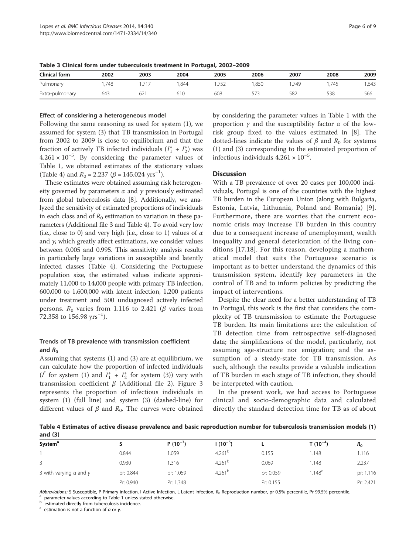Table 3 Clinical form under tuberculosis treatment in Portugal, 2002–2009

| <b>Clinical form</b> | 2002 | 2003 | 2004 | 2005 | 2006 | 2007 | 2008 | 2009 |
|----------------------|------|------|------|------|------|------|------|------|
| Pulmonary            | ,748 |      | .844 | ے ر  | .850 | 749  | .745 | ,643 |
| Extra-pulmonary      | 643  | 62   | 610  | 608  |      | 582  | 538  | 566  |

#### Effect of considering a heterogeneous model

Following the same reasoning as used for system (1), we assumed for system (3) that TB transmission in Portugal from 2002 to 2009 is close to equilibrium and that the fraction of actively TB infected individuals  $(I_1^* + I_2^*)$  was  $4.261 \times 10^{-5}$ . By considering the parameter values of Table 1, we obtained estimates of the stationary values (Table 4) and  $R_0 = 2.237$  ( $\beta = 145.024$  yrs<sup>-1</sup>).

These estimates were obtained assuming risk heterogeneity governed by parameters  $\alpha$  and  $\gamma$  previously estimated from global tuberculosis data [8]. Additionally, we analyzed the sensitivity of estimated proportions of individuals in each class and of  $R_0$  estimation to variation in these parameters (Additional file 3 and Table 4). To avoid very low (i.e., close to 0) and very high (i.e., close to 1) values of  $\alpha$ and  $\gamma$ , which greatly affect estimations, we consider values between 0.005 and 0.995. This sensitivity analysis results in particularly large variations in susceptible and latently infected classes (Table 4). Considering the Portuguese population size, the estimated values indicate approximately 11,000 to 14,000 people with primary TB infection, 600,000 to 1,600,000 with latent infection, 1,200 patients under treatment and 500 undiagnosed actively infected persons.  $R_0$  varies from 1.116 to 2.421 ( $\beta$  varies from  $72.358$  to 156.98  $yrs^{-1}$ ).

# Trends of TB prevalence with transmission coefficient and  $R_0$

Assuming that systems (1) and (3) are at equilibrium, we can calculate how the proportion of infected individuals  $(I^*$  for system (1) and  $I_1^*$  +  $I_2^*$  for system (3)) vary with transmission coefficient  $β$  (Additional file 2). Figure 3 represents the proportion of infectious individuals in system (1) (full line) and system (3) (dashed-line) for different values of  $\beta$  and  $R_0$ . The curves were obtained by considering the parameter values in Table 1 with the proportion  $\gamma$  and the susceptibility factor  $\alpha$  of the lowrisk group fixed to the values estimated in [8]. The dotted-lines indicate the values of  $\beta$  and  $R_0$  for systems (1) and (3) corresponding to the estimated proportion of infectious individuals 4.261 × 10−<sup>5</sup> .

## **Discussion**

With a TB prevalence of over 20 cases per 100,000 individuals, Portugal is one of the countries with the highest TB burden in the European Union (along with Bulgaria, Estonia, Latvia, Lithuania, Poland and Romania) [9]. Furthermore, there are worries that the current economic crisis may increase TB burden in this country due to a consequent increase of unemployment, wealth inequality and general deterioration of the living conditions [17,18]. For this reason, developing a mathematical model that suits the Portuguese scenario is important as to better understand the dynamics of this transmission system, identify key parameters in the control of TB and to inform policies by predicting the impact of interventions.

Despite the clear need for a better understanding of TB in Portugal, this work is the first that considers the complexity of TB transmission to estimate the Portuguese TB burden. Its main limitations are: the calculation of TB detection time from retrospective self-diagnosed data; the simplifications of the model, particularly, not assuming age-structure nor emigration; and the assumption of a steady-state for TB transmission. As such, although the results provide a valuable indication of TB burden in each stage of TB infection, they should be interpreted with caution.

In the present work, we had access to Portuguese clinical and socio-demographic data and calculated directly the standard detection time for TB as of about

Table 4 Estimates of active disease prevalence and basic reproduction number for tuberculosis transmission models (1) and (3)

| System <sup>a</sup>                  |           | $P(10^{-3})$ | l (10 <sup>–5</sup> ) |           | T (10 <sup>-4</sup> ) | $R_0$     |
|--------------------------------------|-----------|--------------|-----------------------|-----------|-----------------------|-----------|
|                                      | 0.844     | .059         | 4.261 <sup>b</sup>    | 0.155     | .148                  | 1.116     |
|                                      | 0.930     | .316         | 4.261 <sup>b</sup>    | 0.069     | .148                  | 2.237     |
| 3 with varying $\alpha$ and $\gamma$ | pr: 0.844 | pr: 1.059    | 4.261 <sup>b</sup>    | pr: 0.059 | .148 <sup>c</sup>     | pr: 1.116 |
|                                      | Pr: 0.940 | Pr: 1.348    |                       | Pr: 0.155 |                       | Pr: 2.421 |

Abbreviations: S Susceptible, P Primary infection, I Active Infection, L Latent Infection,  $R_0$  Reproduction number, pr 0.5% percentile, Pr 99.5% percentile.

- parameter values according to Table 1 unless stated otherwise

b<sub>-</sub> estimated directly from tuberculosis incidence.

 $c<sub>-</sub>$  estimation is not a function of  $\alpha$  or  $\gamma$ .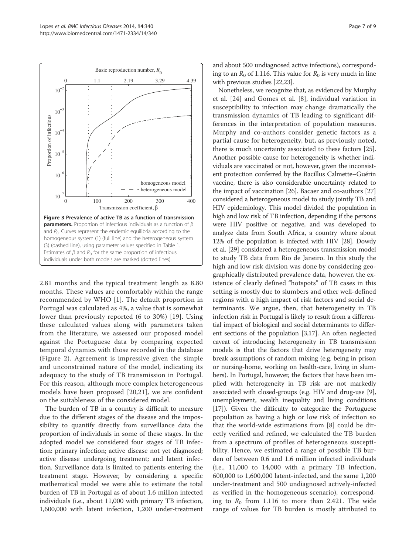

2.81 months and the typical treatment length as 8.80 months. These values are comfortably within the range recommended by WHO [1]. The default proportion in Portugal was calculated as 4%, a value that is somewhat lower than previously reported (6 to 30%) [19]. Using these calculated values along with parameters taken from the literature, we assessed our proposed model against the Portuguese data by comparing expected temporal dynamics with those recorded in the database (Figure 2). Agreement is impressive given the simple and unconstrained nature of the model, indicating its adequacy to the study of TB transmission in Portugal. For this reason, although more complex heterogeneous models have been proposed [20,21], we are confident on the suitableness of the considered model.

The burden of TB in a country is difficult to measure due to the different stages of the disease and the impossibility to quantify directly from surveillance data the proportion of individuals in some of these stages. In the adopted model we considered four stages of TB infection: primary infection; active disease not yet diagnosed; active disease undergoing treatment; and latent infection. Surveillance data is limited to patients entering the treatment stage. However, by considering a specific mathematical model we were able to estimate the total burden of TB in Portugal as of about 1.6 million infected individuals (i.e., about 11,000 with primary TB infection, 1,600,000 with latent infection, 1,200 under-treatment

and about 500 undiagnosed active infections), corresponding to an  $R_0$  of 1.116. This value for  $R_0$  is very much in line with previous studies [22,23].

Nonetheless, we recognize that, as evidenced by Murphy et al. [24] and Gomes et al. [8], individual variation in susceptibility to infection may change dramatically the transmission dynamics of TB leading to significant differences in the interpretation of population measures. Murphy and co-authors consider genetic factors as a partial cause for heterogeneity, but, as previously noted, there is much uncertainty associated to these factors [25]. Another possible cause for heterogeneity is whether individuals are vaccinated or not, however, given the inconsistent protection conferred by the Bacillus Calmette–Guérin vaccine, there is also considerable uncertainty related to the impact of vaccination [26]. Bacaer and co-authors [27] considered a heterogeneous model to study jointly TB and HIV epidemiology. This model divided the population in high and low risk of TB infection, depending if the persons were HIV positive or negative, and was developed to analyze data from South Africa, a country where about 12% of the population is infected with HIV [28]. Dowdy et al. [29] considered a heterogeneous transmission model to study TB data from Rio de Janeiro. In this study the high and low risk division was done by considering geographically distributed prevalence data, however, the existence of clearly defined "hotspots" of TB cases in this setting is mostly due to slumbers and other well-defined regions with a high impact of risk factors and social determinants. We argue, then, that heterogeneity in TB infection risk in Portugal is likely to result from a differential impact of biological and social determinants to different sections of the population [3,17]. An often neglected caveat of introducing heterogeneity in TB transmission models is that the factors that drive heterogeneity may break assumptions of random mixing (e.g. being in prison or nursing-home, working on health-care, living in slumbers). In Portugal, however, the factors that have been implied with heterogeneity in TB risk are not markedly associated with closed-groups (e.g. HIV and drug-use [9], unemployment, wealth inequality and living conditions [17]). Given the difficulty to categorize the Portuguese population as having a high or low risk of infection so that the world-wide estimations from [8] could be directly verified and refined, we calculated the TB burden from a spectrum of profiles of heterogeneous susceptibility. Hence, we estimated a range of possible TB burden of between 0.6 and 1.6 million infected individuals (i.e., 11,000 to 14,000 with a primary TB infection, 600,000 to 1,600,000 latent-infected, and the same 1,200 under-treatment and 500 undiagnosed actively-infected as verified in the homogeneous scenario), corresponding to  $R_0$  from 1.116 to more than 2.421. The wide range of values for TB burden is mostly attributed to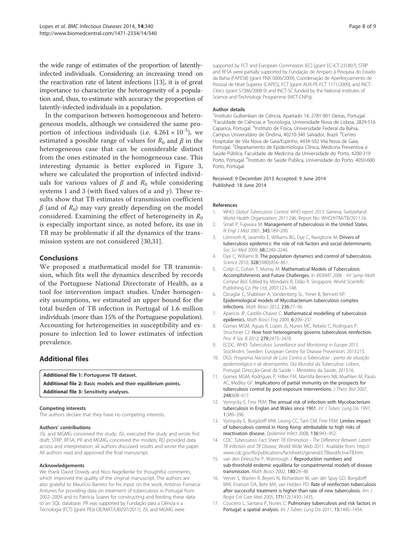the wide range of estimates of the proportion of latentlyinfected individuals. Considering an increasing trend on the reactivation rate of latent infections [13], it is of great importance to characterize the heterogeneity of a population and, thus, to estimate with accuracy the proportion of latently-infected individuals in a population.

In the comparison between homogeneous and heterogeneous models, although we considered the same proportion of infectious individuals (i.e.  $4.261 \times 10^{-5}$ ), we estimated a possible range of values for  $R_0$  and  $\beta$  in the heterogeneous case that can be considerable distinct from the ones estimated in the homogeneous case. This interesting dynamic is better explored in Figure 3, where we calculated the proportion of infected individuals for various values of β and  $R_0$  while considering systems 1 and 3 (with fixed values of  $\alpha$  and  $\gamma$ ). These results show that TB estimates of transmission coefficient  $\beta$  (and of  $R_0$ ) may vary greatly depending on the model considered. Examining the effect of heterogeneity in  $R_0$ is especially important since, as noted before, its use in TB may be problematic if all the dynamics of the transmission system are not considered [30,31].

# **Conclusions**

We proposed a mathematical model for TB transmission, which fits well the dynamics described by records of the Portuguese National Directorate of Health, as a tool for intervention impact studies. Under homogeneity assumptions, we estimated an upper bound for the total burden of TB infection in Portugal of 1.6 million individuals (more than 15% of the Portuguese population). Accounting for heterogeneities in susceptibility and exposure to infection led to lower estimates of infection prevalence.

# Additional files

Additional file 1: Portuguese TB dataset. Additional file 2: Basic models and their equilibrium points. Additional file 3: Sensitivity analyses.

#### Competing interests

The authors declare that they have no competing interests.

#### Authors' contributions

JSL and MGMG conceived the study; JSL executed the study and wrote first draft; STRP, RFSA, PR and MGMG conceived the models; RD provided data access and interpretation; all authors discussed results and wrote the paper. All authors read and approved the final manuscript.

#### Acknowledgements

We thank David Dowdy and Nico Nagelkerke for thoughtful comments, which improved the quality of the original manuscript. The authors are also grateful to Maurício Barreto for his input on the work, António Fonseca-Antunes for providing data on treatment of tuberculosis in Portugal from 2002–2009 and to Patrícia Soares for constructing and feeding these data to an SQL database. PR was supported by Fundação para a Ciência e a Tecnologia (FCT) [grant PEst-OE/MAT/UI0297/2011]. JSL and MGMG were

supported by FCT and European Commission (EC) [grant EC-ICT-231807]. STRP and RFSA were partially supported by Fundação de Amparo à Pesquisa do Estado da Bahia (FAPESB) [grant PNX 0006/2009), Coordenação de Aperfeiçoamento de Pessoal de Nível Superior (CAPES), FCT [grant AUX-PE-FCT 1171/2009], and INCT-Citecs (grant 57386/2008-9) and INCT-SC funded by the National Institutes of Science and Technology Programme (MCT-CNPq).

#### Author details

<sup>1</sup>Instituto Gulbenkian de Ciência, Apartado 14, 2781-901 Oeiras, Portugal. <sup>2</sup>Faculdade de Ciências e Tecnologia, Universidade Nova de Lisboa, 2829-516 Caparica, Portugal. <sup>3</sup>Instituto de Física, Universidade Federal da Bahia, Campus Universitário de Ondina, 40210-340 Salvador, Brazil. <sup>4</sup>Centro Hospitalar de Vila Nova de Gaia/Espinho, 4434-502 Vila Nova de Gaia, Portugal. <sup>5</sup>Departamento de Epidemiologia Clínica, Medicina Preventiva e Saúde Pública, Faculdade de Medicina da Universidade do Porto, 4200-319 Porto, Portugal. <sup>6</sup>Instituto de Saúde Publica, Universidade do Porto, 4050-600 Porto, Portugal.

#### Received: 9 December 2013 Accepted: 9 June 2014 Published: 18 June 2014

#### References

- WHO: Global Tuberculosis Control: WHO report 2013. Geneva, Switzerland: World Health Organization; 2011:246. Report No: WHO/HTM/TB/2011.16.
- 2. Small P, Fujiwara M: Management of tuberculosis in the United States. N Engl J Med 2001, 345:189–200.
- 3. Lönnroth K, Jaramillo E, Williams BG, Dye C, Raviglione M: Drivers of tuberculosis epidemics: the role of risk factors and social determinants. Soc Sci Med 2009, 68:2240–2246.
- 4. Dye C, Williams B: The population dynamics and control of tuberculosis. Science 2010, 328(5980):856–861.
- 5. Colijn C, Cohen T, Murray M: Mathematical Models of Tuberculosis: Accomplishments and Future Challenges. In BIOMAT 2006 - Int Symp Math Comput Biol. Edited by Mondaini R, Dilão R. Singapore: World Scientific Publishing Co Pte Ltd; 2007:123–148.
- 6. Ozcaglar C, Shabbeer A, Vandenberg SL, Yener B, Bennett KP: Epidemiological models of Mycobacterium tuberculosis complex infections. Math Biosci 2012, 236:77–96.
- 7. Aparicio JP, Castillo-Chavez C: Mathematical modelling of tuberculosis epidemics. Math Biosci Eng 2009, 6:209–237.
- 8. Gomes MGM, Aguas R, Lopes JS, Nunes MC, Rebelo C, Rodrigues P, Struchiner CJ: How host heterogeneity governs tuberculosis reinfection. Proc R Soc B 2012, 279:2473–2478.
- 9. ECDC, WHO: Tuberculosis Surveillance and Monitoring in Europe 2013. Stockholm, Sweden: European Centre for Disease Prevention; 2013:215.
- 10. DGS: Programa Nacional de Luta Contra a Tuberculose ponto da situação epidemiológica e de desempenho, Dia Mundial da Tuberculose. Lisbon, Portugal: Direcção-Geral da Saúde – Ministério da Saúde; 2013:16.
- 11. Gomes MGM, Rodrigues P, Hilker FM, Mantilla-Beniers NB, Muehlen M, Paulo AC, Medley GF: Implications of partial immunity on the prospects for tuberculosis control by post-exposure interventions. J Theor Biol 2007, 248:608–617.
- 12. Vynnycky E, Fine PEM: The annual risk of infection with Mycobacterium tuberculosis in Englan and Wales since 1901. Int J Tuberc Lung Dis 1997, 1:389–396.
- 13. Vynnycky E, Borgdorff MW, Leung CC, Tam CM, Fine PEM: Limites impact of tuberculosis control in Hong Kong: attributable to high risks of reactivation disease. Epidemiol Infect 2008, 136:943–952.
- 14. CDC: Tuberculosis Fact Sheet: TB Elimination The Difference Between Latent TB Infection and TB Disease, World Wide Web 2011. Available from: http:// www.cdc.gov/tb/publications/factsheets/general/LTBIandActiveTB.htm.
- 15. van den Driessche P, Watmough J: Reproduction numbers and sub-threshold endemic equilibria for compartmental models of disease transmission. Math Biosci 2002, 180:29–48.
- 16. Verver S, Warren R, Beyers N, Richardson M, van der Spuy GD, Borgdorff MW, Enarson DA, Behr MA, van Helden PD: Rate of reinfection tuberculosis after successful treatment is higher than rate of new tuberculosis. Am J Respir Crit Care Med 2005, 171(12):1430–1435.
- 17. Couceiro L, Santana P, Nunes C: Pulmonary tuberculosis and risk factors in Portugal: a spatial analysis. Int J Tuberc Lung Dis 2011, 15:1445-1454.